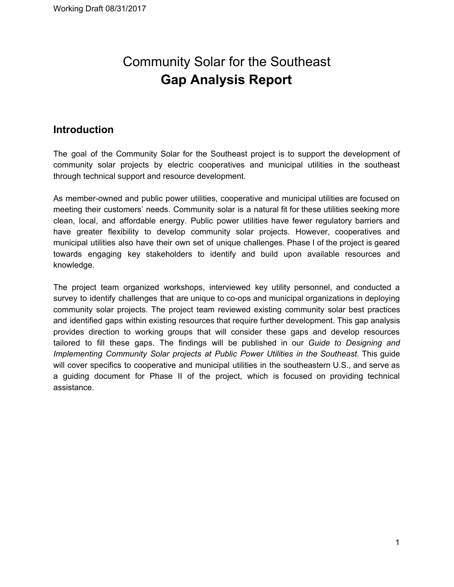# Community Solar for the Southeast **Gap Analysis Report**

## **Introduction**

The goal of the Community Solar for the Southeast project is to support the development of community solar projects by electric cooperatives and municipal utilities in the southeast through technical support and resource development.

As member-owned and public power utilities, cooperative and municipal utilities are focused on meeting their customers' needs. Community solar is a natural fit for these utilities seeking more clean, local, and affordable energy. Public power utilities have fewer regulatory barriers and have greater flexibility to develop community solar projects. However, cooperatives and municipal utilities also have their own set of unique challenges. Phase I of the project is geared towards engaging key stakeholders to identify and build upon available resources and knowledge.

The project team organized workshops, interviewed key utility personnel, and conducted a survey to identify challenges that are unique to co-ops and municipal organizations in deploying community solar projects. The project team reviewed existing community solar best practices and identified gaps within existing resources that require further development. This gap analysis provides direction to working groups that will consider these gaps and develop resources tailored to fill these gaps. The findings will be published in our *Guide to Designing and Implementing Community Solar projects at Public Power Utilities in the Southeast*. This guide will cover specifics to cooperative and municipal utilities in the southeastern U.S., and serve as a guiding document for Phase II of the project, which is focused on providing technical assistance.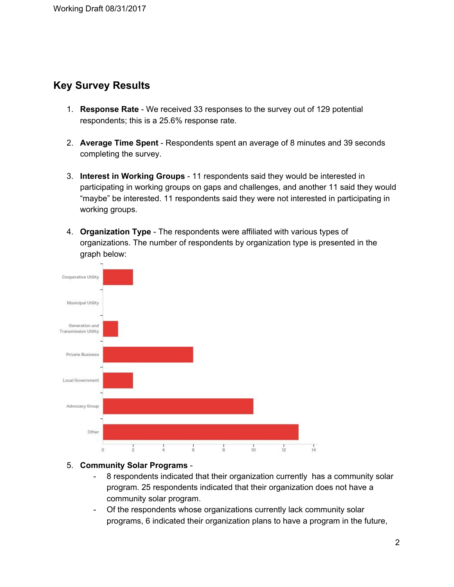## **Key Survey Results**

- 1. **Response Rate** We received 33 responses to the survey out of 129 potential respondents; this is a 25.6% response rate.
- 2. **Average Time Spent** Respondents spent an average of 8 minutes and 39 seconds completing the survey.
- 3. **Interest in Working Groups** 11 respondents said they would be interested in participating in working groups on gaps and challenges, and another 11 said they would "maybe" be interested. 11 respondents said they were not interested in participating in working groups.
- 4. **Organization Type** The respondents were affiliated with various types of organizations. The number of respondents by organization type is presented in the graph below:



#### 5. **Community Solar Programs** -

- 8 respondents indicated that their organization currently has a community solar program. 25 respondents indicated that their organization does not have a community solar program.
- Of the respondents whose organizations currently lack community solar programs, 6 indicated their organization plans to have a program in the future,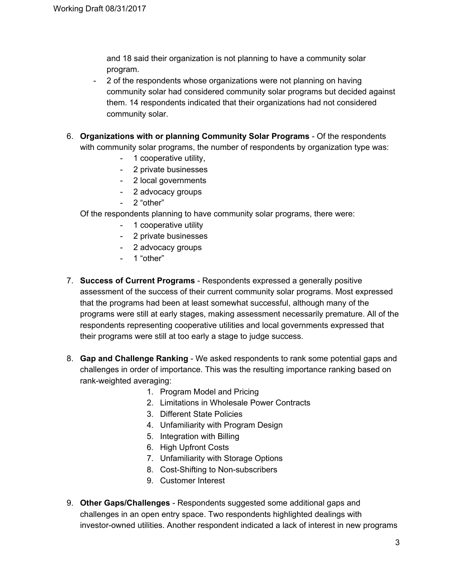and 18 said their organization is not planning to have a community solar program.

- 2 of the respondents whose organizations were not planning on having community solar had considered community solar programs but decided against them. 14 respondents indicated that their organizations had not considered community solar.
- 6. **Organizations with or planning Community Solar Programs** Of the respondents with community solar programs, the number of respondents by organization type was:
	- 1 cooperative utility,
	- 2 private businesses
	- 2 local governments
	- 2 advocacy groups
	- 2 "other"

Of the respondents planning to have community solar programs, there were:

- 1 cooperative utility
- 2 private businesses
- 2 advocacy groups
- 1 "other"
- 7. **Success of Current Programs** Respondents expressed a generally positive assessment of the success of their current community solar programs. Most expressed that the programs had been at least somewhat successful, although many of the programs were still at early stages, making assessment necessarily premature. All of the respondents representing cooperative utilities and local governments expressed that their programs were still at too early a stage to judge success.
- 8. **Gap and Challenge Ranking** We asked respondents to rank some potential gaps and challenges in order of importance. This was the resulting importance ranking based on rank-weighted averaging:
	- 1. Program Model and Pricing
	- 2. Limitations in Wholesale Power Contracts
	- 3. Different State Policies
	- 4. Unfamiliarity with Program Design
	- 5. Integration with Billing
	- 6. High Upfront Costs
	- 7. Unfamiliarity with Storage Options
	- 8. Cost-Shifting to Non-subscribers
	- 9. Customer Interest
- 9. **Other Gaps/Challenges** Respondents suggested some additional gaps and challenges in an open entry space. Two respondents highlighted dealings with investor-owned utilities. Another respondent indicated a lack of interest in new programs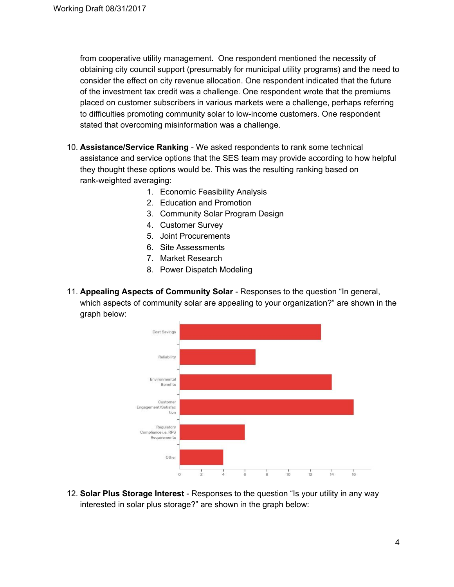from cooperative utility management. One respondent mentioned the necessity of obtaining city council support (presumably for municipal utility programs) and the need to consider the effect on city revenue allocation. One respondent indicated that the future of the investment tax credit was a challenge. One respondent wrote that the premiums placed on customer subscribers in various markets were a challenge, perhaps referring to difficulties promoting community solar to low-income customers. One respondent stated that overcoming misinformation was a challenge.

- 10. **Assistance/Service Ranking** We asked respondents to rank some technical assistance and service options that the SES team may provide according to how helpful they thought these options would be. This was the resulting ranking based on rank-weighted averaging:
	- 1. Economic Feasibility Analysis
	- 2. Education and Promotion
	- 3. Community Solar Program Design
	- 4. Customer Survey
	- 5. Joint Procurements
	- 6. Site Assessments
	- 7. Market Research
	- 8. Power Dispatch Modeling
- 11. **Appealing Aspects of Community Solar** Responses to the question "In general, which aspects of community solar are appealing to your organization?" are shown in the graph below:



12. **Solar Plus Storage Interest** - Responses to the question "Is your utility in any way interested in solar plus storage?" are shown in the graph below: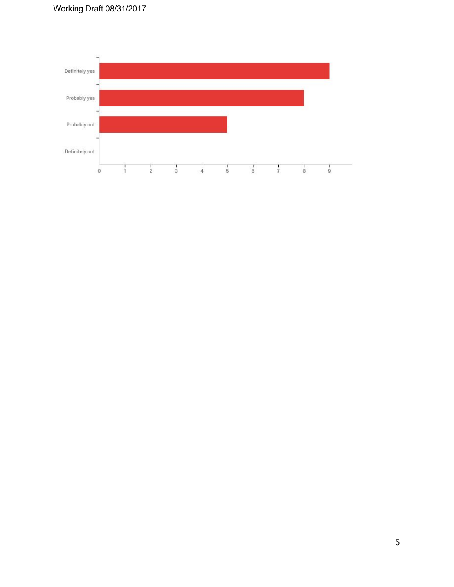

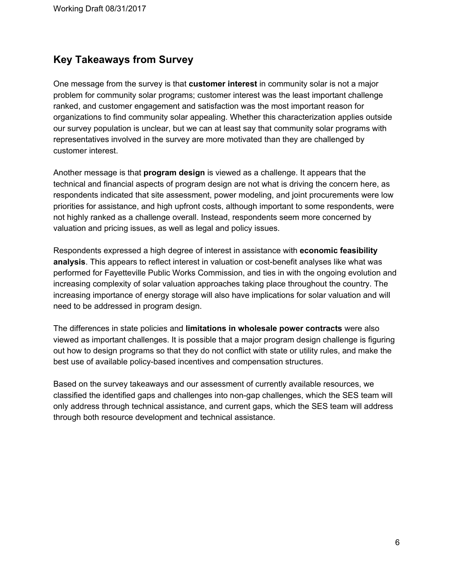## **Key Takeaways from Survey**

One message from the survey is that **customer interest** in community solar is not a major problem for community solar programs; customer interest was the least important challenge ranked, and customer engagement and satisfaction was the most important reason for organizations to find community solar appealing. Whether this characterization applies outside our survey population is unclear, but we can at least say that community solar programs with representatives involved in the survey are more motivated than they are challenged by customer interest.

Another message is that **program design** is viewed as a challenge. It appears that the technical and financial aspects of program design are not what is driving the concern here, as respondents indicated that site assessment, power modeling, and joint procurements were low priorities for assistance, and high upfront costs, although important to some respondents, were not highly ranked as a challenge overall. Instead, respondents seem more concerned by valuation and pricing issues, as well as legal and policy issues.

Respondents expressed a high degree of interest in assistance with **economic feasibility analysis**. This appears to reflect interest in valuation or cost-benefit analyses like what was performed for Fayetteville Public Works Commission, and ties in with the ongoing evolution and increasing complexity of solar valuation approaches taking place throughout the country. The increasing importance of energy storage will also have implications for solar valuation and will need to be addressed in program design.

The differences in state policies and **limitations in wholesale power contracts** were also viewed as important challenges. It is possible that a major program design challenge is figuring out how to design programs so that they do not conflict with state or utility rules, and make the best use of available policy-based incentives and compensation structures.

Based on the survey takeaways and our assessment of currently available resources, we classified the identified gaps and challenges into non-gap challenges, which the SES team will only address through technical assistance, and current gaps, which the SES team will address through both resource development and technical assistance.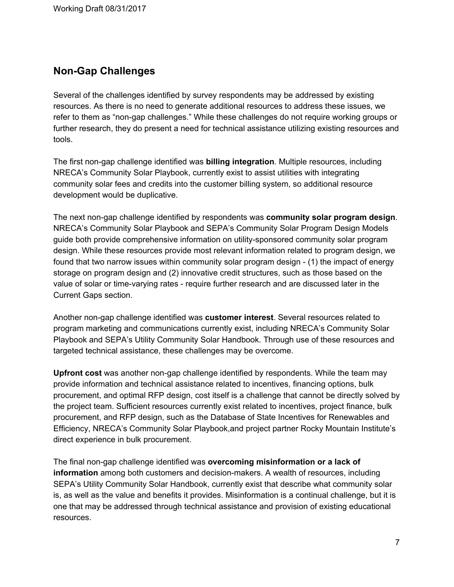## **Non-Gap Challenges**

Several of the challenges identified by survey respondents may be addressed by existing resources. As there is no need to generate additional resources to address these issues, we refer to them as "non-gap challenges." While these challenges do not require working groups or further research, they do present a need for technical assistance utilizing existing resources and tools.

The first non-gap challenge identified was **billing integration**. Multiple resources, including NRECA's Community Solar Playbook, currently exist to assist utilities with integrating community solar fees and credits into the customer billing system, so additional resource development would be duplicative.

The next non-gap challenge identified by respondents was **community solar program design**. NRECA's Community Solar Playbook and SEPA's Community Solar Program Design Models guide both provide comprehensive information on utility-sponsored community solar program design. While these resources provide most relevant information related to program design, we found that two narrow issues within community solar program design - (1) the impact of energy storage on program design and (2) innovative credit structures, such as those based on the value of solar or time-varying rates - require further research and are discussed later in the Current Gaps section.

Another non-gap challenge identified was **customer interest**. Several resources related to program marketing and communications currently exist, including NRECA's Community Solar Playbook and SEPA's Utility Community Solar Handbook. Through use of these resources and targeted technical assistance, these challenges may be overcome.

**Upfront cost** was another non-gap challenge identified by respondents. While the team may provide information and technical assistance related to incentives, financing options, bulk procurement, and optimal RFP design, cost itself is a challenge that cannot be directly solved by the project team. Sufficient resources currently exist related to incentives, project finance, bulk procurement, and RFP design, such as the Database of State Incentives for Renewables and Efficiency, NRECA's Community Solar Playbook,and project partner Rocky Mountain Institute's direct experience in bulk procurement.

The final non-gap challenge identified was **overcoming misinformation or a lack of information** among both customers and decision-makers. A wealth of resources, including SEPA's Utility Community Solar Handbook, currently exist that describe what community solar is, as well as the value and benefits it provides. Misinformation is a continual challenge, but it is one that may be addressed through technical assistance and provision of existing educational resources.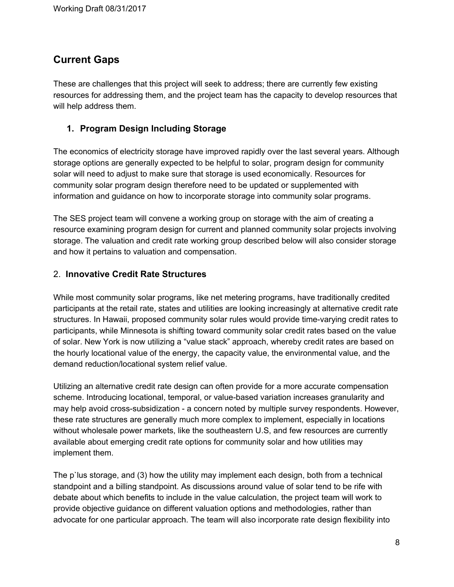## **Current Gaps**

These are challenges that this project will seek to address; there are currently few existing resources for addressing them, and the project team has the capacity to develop resources that will help address them.

#### **1. Program Design Including Storage**

The economics of electricity storage have improved rapidly over the last several years. Although storage options are generally expected to be helpful to solar, program design for community solar will need to adjust to make sure that storage is used economically. Resources for community solar program design therefore need to be updated or supplemented with information and guidance on how to incorporate storage into community solar programs.

The SES project team will convene a working group on storage with the aim of creating a resource examining program design for current and planned community solar projects involving storage. The valuation and credit rate working group described below will also consider storage and how it pertains to valuation and compensation.

#### 2. **Innovative Credit Rate Structures**

While most community solar programs, like net metering programs, have traditionally credited participants at the retail rate, states and utilities are looking increasingly at alternative credit rate structures. In Hawaii, proposed community solar rules would provide time-varying credit rates to participants, while Minnesota is shifting toward community solar credit rates based on the value of solar. New York is now utilizing a "value stack" approach, whereby credit rates are based on the hourly locational value of the energy, the capacity value, the environmental value, and the demand reduction/locational system relief value.

Utilizing an alternative credit rate design can often provide for a more accurate compensation scheme. Introducing locational, temporal, or value-based variation increases granularity and may help avoid cross-subsidization - a concern noted by multiple survey respondents. However, these rate structures are generally much more complex to implement, especially in locations without wholesale power markets, like the southeastern U.S, and few resources are currently available about emerging credit rate options for community solar and how utilities may implement them.

The p`lus storage, and (3) how the utility may implement each design, both from a technical standpoint and a billing standpoint. As discussions around value of solar tend to be rife with debate about which benefits to include in the value calculation, the project team will work to provide objective guidance on different valuation options and methodologies, rather than advocate for one particular approach. The team will also incorporate rate design flexibility into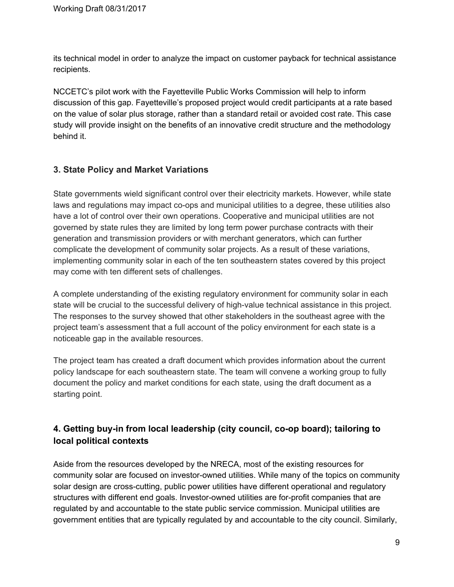its technical model in order to analyze the impact on customer payback for technical assistance recipients.

NCCETC's pilot work with the Fayetteville Public Works Commission will help to inform discussion of this gap. Fayetteville's proposed project would credit participants at a rate based on the value of solar plus storage, rather than a standard retail or avoided cost rate. This case study will provide insight on the benefits of an innovative credit structure and the methodology behind it.

#### **3. State Policy and Market Variations**

State governments wield significant control over their electricity markets. However, while state laws and regulations may impact co-ops and municipal utilities to a degree, these utilities also have a lot of control over their own operations. Cooperative and municipal utilities are not governed by state rules they are limited by long term power purchase contracts with their generation and transmission providers or with merchant generators, which can further complicate the development of community solar projects. As a result of these variations, implementing community solar in each of the ten southeastern states covered by this project may come with ten different sets of challenges.

A complete understanding of the existing regulatory environment for community solar in each state will be crucial to the successful delivery of high-value technical assistance in this project. The responses to the survey showed that other stakeholders in the southeast agree with the project team's assessment that a full account of the policy environment for each state is a noticeable gap in the available resources.

The project team has created a draft document which provides information about the current policy landscape for each southeastern state. The team will convene a working group to fully document the policy and market conditions for each state, using the draft document as a starting point.

### **4. Getting buy-in from local leadership (city council, co-op board); tailoring to local political contexts**

Aside from the resources developed by the NRECA, most of the existing resources for community solar are focused on investor-owned utilities. While many of the topics on community solar design are cross-cutting, public power utilities have different operational and regulatory structures with different end goals. Investor-owned utilities are for-profit companies that are regulated by and accountable to the state public service commission. Municipal utilities are government entities that are typically regulated by and accountable to the city council. Similarly,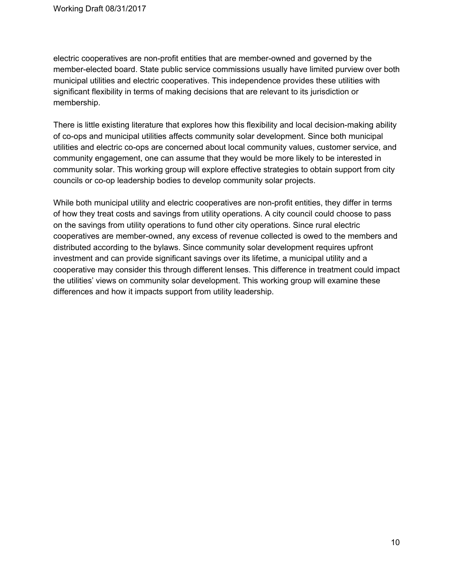electric cooperatives are non-profit entities that are member-owned and governed by the member-elected board. State public service commissions usually have limited purview over both municipal utilities and electric cooperatives. This independence provides these utilities with significant flexibility in terms of making decisions that are relevant to its jurisdiction or membership.

There is little existing literature that explores how this flexibility and local decision-making ability of co-ops and municipal utilities affects community solar development. Since both municipal utilities and electric co-ops are concerned about local community values, customer service, and community engagement, one can assume that they would be more likely to be interested in community solar. This working group will explore effective strategies to obtain support from city councils or co-op leadership bodies to develop community solar projects.

While both municipal utility and electric cooperatives are non-profit entities, they differ in terms of how they treat costs and savings from utility operations. A city council could choose to pass on the savings from utility operations to fund other city operations. Since rural electric cooperatives are member-owned, any excess of revenue collected is owed to the members and distributed according to the bylaws. Since community solar development requires upfront investment and can provide significant savings over its lifetime, a municipal utility and a cooperative may consider this through different lenses. This difference in treatment could impact the utilities' views on community solar development. This working group will examine these differences and how it impacts support from utility leadership.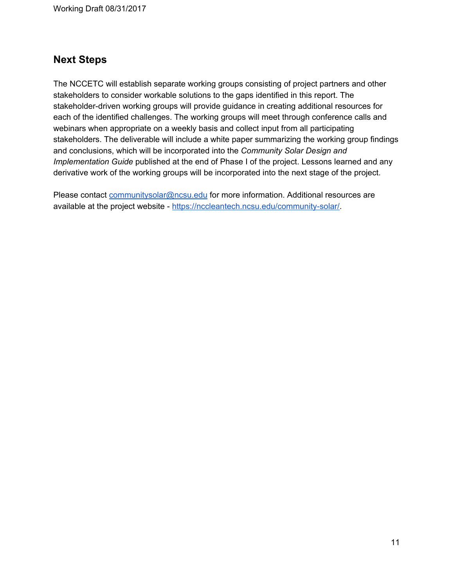Working Draft 08/31/2017

## **Next Steps**

The NCCETC will establish separate working groups consisting of project partners and other stakeholders to consider workable solutions to the gaps identified in this report. The stakeholder-driven working groups will provide guidance in creating additional resources for each of the identified challenges. The working groups will meet through conference calls and webinars when appropriate on a weekly basis and collect input from all participating stakeholders. The deliverable will include a white paper summarizing the working group findings and conclusions, which will be incorporated into the *Community Solar Design and Implementation Guide* published at the end of Phase I of the project. Lessons learned and any derivative work of the working groups will be incorporated into the next stage of the project.

Please contact *[communitysolar@ncsu.edu](mailto:communitysolar@ncsu.edu)* for more information. Additional resources are available at the project website - <https://nccleantech.ncsu.edu/community-solar/>.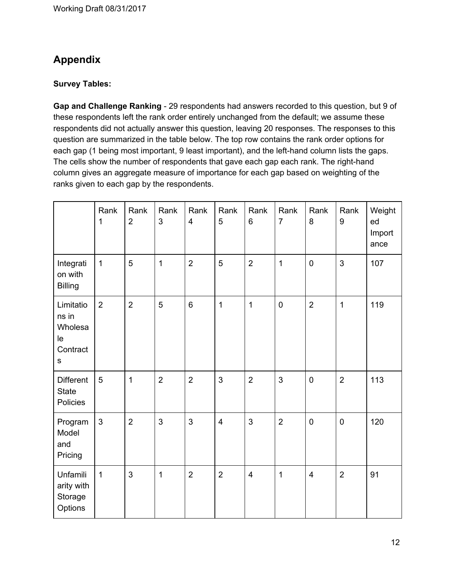## **Appendix**

#### **Survey Tables:**

**Gap and Challenge Ranking** - 29 respondents had answers recorded to this question, but 9 of these respondents left the rank order entirely unchanged from the default; we assume these respondents did not actually answer this question, leaving 20 responses. The responses to this question are summarized in the table below. The top row contains the rank order options for each gap (1 being most important, 9 least important), and the left-hand column lists the gaps. The cells show the number of respondents that gave each gap each rank. The right-hand column gives an aggregate measure of importance for each gap based on weighting of the ranks given to each gap by the respondents.

|                                                              | Rank<br>1      | Rank<br>$\overline{2}$ | Rank<br>3      | Rank<br>$\overline{\mathbf{4}}$ | Rank<br>5               | Rank<br>6               | Rank<br>$\overline{7}$ | Rank<br>8               | Rank<br>$\boldsymbol{9}$ | Weight<br>ed<br>Import<br>ance |
|--------------------------------------------------------------|----------------|------------------------|----------------|---------------------------------|-------------------------|-------------------------|------------------------|-------------------------|--------------------------|--------------------------------|
| Integrati<br>on with<br><b>Billing</b>                       | $\mathbf{1}$   | 5                      | $\mathbf{1}$   | $\overline{2}$                  | 5                       | $\overline{2}$          | 1                      | $\mathbf 0$             | 3                        | 107                            |
| Limitatio<br>ns in<br>Wholesa<br>le<br>Contract<br>${\sf s}$ | $\overline{2}$ | $\overline{2}$         | 5              | $\,6$                           | $\mathbf{1}$            | $\mathbf{1}$            | $\pmb{0}$              | $\overline{2}$          | $\mathbf{1}$             | 119                            |
| <b>Different</b><br><b>State</b><br>Policies                 | $\overline{5}$ | $\mathbf{1}$           | $\overline{2}$ | $\overline{2}$                  | 3                       | $\overline{2}$          | 3                      | $\mathbf 0$             | $\overline{2}$           | 113                            |
| Program<br>Model<br>and<br>Pricing                           | $\mathfrak{S}$ | $\overline{2}$         | 3              | 3                               | $\overline{\mathbf{4}}$ | 3                       | $\overline{2}$         | $\mathbf 0$             | $\mathbf 0$              | 120                            |
| Unfamili<br>arity with<br>Storage<br>Options                 | $\mathbf 1$    | 3                      | 1              | $\overline{2}$                  | $\overline{2}$          | $\overline{\mathbf{4}}$ | 1                      | $\overline{\mathbf{4}}$ | $\overline{2}$           | 91                             |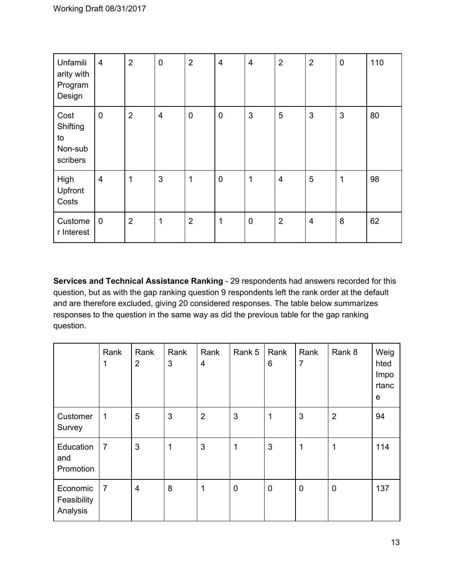| Unfamili<br>arity with<br>Program<br>Design   | $\overline{4}$          | $\overline{2}$ | $\mathbf 0$             | $\overline{2}$ | $\overline{4}$ | $\overline{\mathbf{4}}$ | $\overline{2}$ | $\overline{2}$ | $\pmb{0}$ | 110 |
|-----------------------------------------------|-------------------------|----------------|-------------------------|----------------|----------------|-------------------------|----------------|----------------|-----------|-----|
| Cost<br>Shifting<br>to<br>Non-sub<br>scribers | $\pmb{0}$               | $\overline{2}$ | $\overline{\mathbf{4}}$ | $\mathbf 0$    | $\mathbf 0$    | $\mathfrak{S}$          | 5              | 3              | 3         | 80  |
| High<br>Upfront<br>Costs                      | $\overline{\mathbf{4}}$ | 1              | 3                       | 1              | $\mathbf 0$    | 1                       | 4              | 5              | 1         | 98  |
| Custome<br>r Interest                         | $\pmb{0}$               | $\overline{2}$ | 1                       | $\overline{2}$ | 1              | $\boldsymbol{0}$        | $\overline{2}$ | $\overline{4}$ | 8         | 62  |

**Services and Technical Assistance Ranking** - 29 respondents had answers recorded for this question, but as with the gap ranking question 9 respondents left the rank order at the default and are therefore excluded, giving 20 considered responses. The table below summarizes responses to the question in the same way as did the previous table for the gap ranking question.

|                                     | Rank<br>1      | Rank<br>$\overline{2}$  | Rank<br>3 | Rank<br>4      | Rank 5      | Rank<br>6   | Rank<br>$\overline{7}$ | Rank 8         | Weig<br>hted<br>Impo<br>rtanc<br>e |
|-------------------------------------|----------------|-------------------------|-----------|----------------|-------------|-------------|------------------------|----------------|------------------------------------|
| Customer<br>Survey                  | 1              | 5                       | 3         | $\overline{2}$ | 3           | 1           | 3                      | $\overline{2}$ | 94                                 |
| Education<br>and<br>Promotion       | $\overline{7}$ | $\mathbf{3}$            | 1         | 3              | 1           | 3           | 1                      | 1              | 114                                |
| Economic<br>Feasibility<br>Analysis | $\overline{7}$ | $\overline{\mathbf{4}}$ | 8         | 1              | $\mathbf 0$ | $\mathbf 0$ | $\pmb{0}$              | $\mathbf 0$    | 137                                |